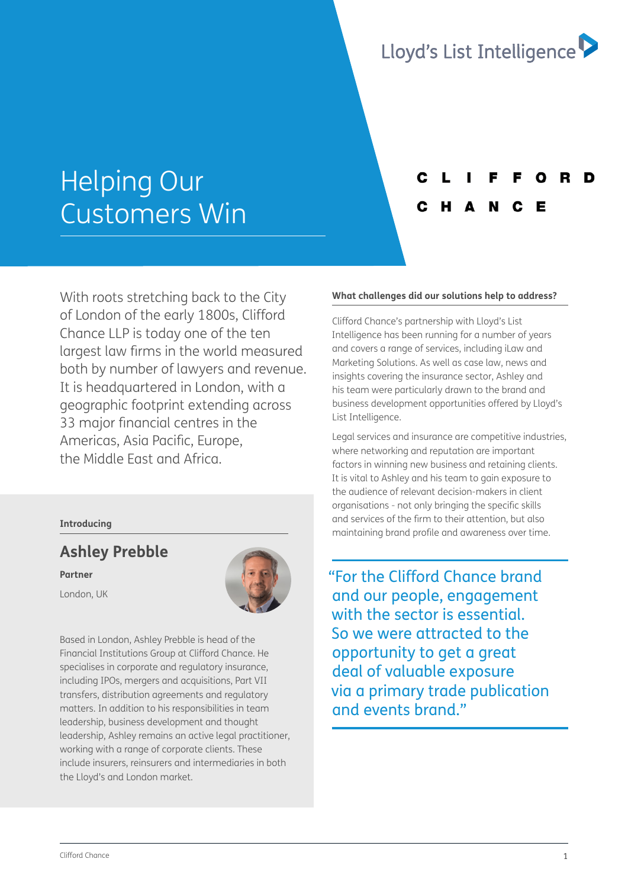

# Helping Our Customers Win

With roots stretching back to the City of London of the early 1800s, Clifford Chance LLP is today one of the ten largest law firms in the world measured both by number of lawyers and revenue. It is headquartered in London, with a geographic footprint extending across 33 major financial centres in the Americas, Asia Pacific, Europe, the Middle East and Africa.

## **Introducing**

# **Ashley Prebble**

**Partner** 

London, UK



Based in London, Ashley Prebble is head of the Financial Institutions Group at Clifford Chance. He specialises in corporate and regulatory insurance, including IPOs, mergers and acquisitions, Part VII transfers, distribution agreements and regulatory matters. In addition to his responsibilities in team leadership, business development and thought leadership, Ashley remains an active legal practitioner, working with a range of corporate clients. These include insurers, reinsurers and intermediaries in both the Lloyd's and London market.

## **What challenges did our solutions help to address?**

Clifford Chance's partnership with Lloyd's List Intelligence has been running for a number of years and covers a range of services, including iLaw and Marketing Solutions. As well as case law, news and insights covering the insurance sector, Ashley and his team were particularly drawn to the brand and business development opportunities offered by Lloyd's List Intelligence.

Legal services and insurance are competitive industries, where networking and reputation are important factors in winning new business and retaining clients. It is vital to Ashley and his team to gain exposure to the audience of relevant decision-makers in client organisations - not only bringing the specific skills and services of the firm to their attention, but also maintaining brand profile and awareness over time.

"For the Clifford Chance brand and our people, engagement with the sector is essential. So we were attracted to the opportunity to get a great deal of valuable exposure via a primary trade publication and events brand"